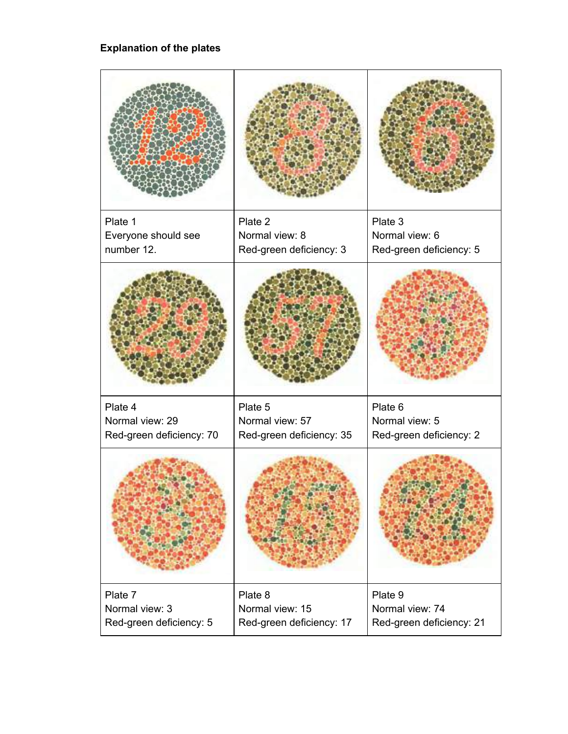## **Explanation of the plates**

| Plate 1<br>Everyone should see<br>number 12.         | Plate 2<br>Normal view: 8<br>Red-green deficiency: 3   | Plate 3<br>Normal view: 6<br>Red-green deficiency: 5   |
|------------------------------------------------------|--------------------------------------------------------|--------------------------------------------------------|
|                                                      |                                                        |                                                        |
| Plate 4                                              | Plate 5                                                | Plate 6                                                |
| Normal view: 29                                      | Normal view: 57                                        | Normal view: 5                                         |
| Red-green deficiency: 70                             | Red-green deficiency: 35                               | Red-green deficiency: 2                                |
|                                                      |                                                        |                                                        |
| Plate 7<br>Normal view: 3<br>Red-green deficiency: 5 | Plate 8<br>Normal view: 15<br>Red-green deficiency: 17 | Plate 9<br>Normal view: 74<br>Red-green deficiency: 21 |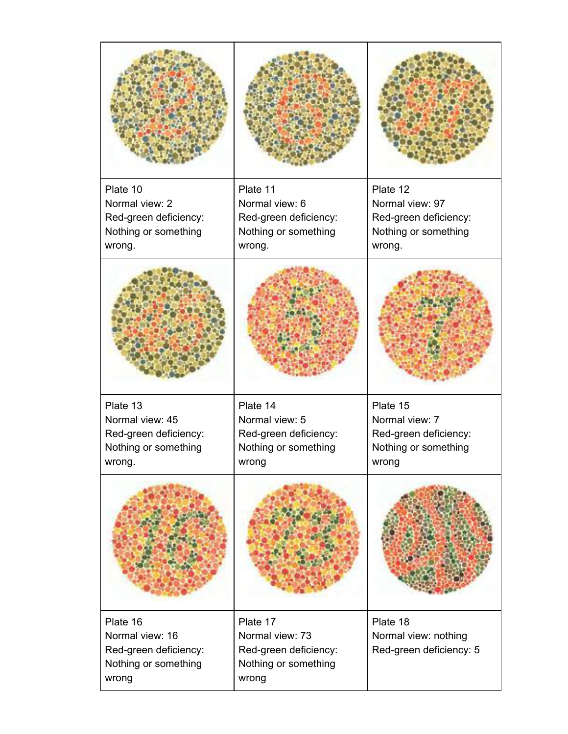| Plate 10<br>Normal view: 2<br>Red-green deficiency:<br>Nothing or something<br>wrong.  | Plate 11<br>Normal view: 6<br>Red-green deficiency:<br>Nothing or something<br>wrong. | Plate 12<br>Normal view: 97<br>Red-green deficiency:<br>Nothing or something<br>wrong. |
|----------------------------------------------------------------------------------------|---------------------------------------------------------------------------------------|----------------------------------------------------------------------------------------|
|                                                                                        |                                                                                       |                                                                                        |
| Plate 13<br>Normal view: 45<br>Red-green deficiency:<br>Nothing or something<br>wrong. | Plate 14<br>Normal view: 5<br>Red-green deficiency:<br>Nothing or something<br>wrong  | Plate 15<br>Normal view: 7<br>Red-green deficiency:<br>Nothing or something<br>wrong   |
|                                                                                        |                                                                                       |                                                                                        |
| Plate 16<br>Normal view: 16<br>Red-green deficiency:<br>Nothing or something<br>wrong  | Plate 17<br>Normal view: 73<br>Red-green deficiency:<br>Nothing or something<br>wrong | Plate 18<br>Normal view: nothing<br>Red-green deficiency: 5                            |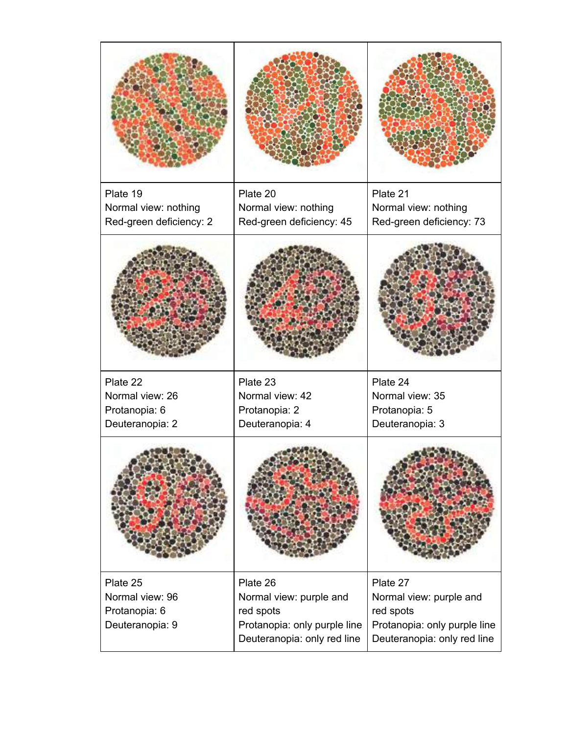| Plate 19                                        | Plate 20                                                                 | Plate 21                                                                 |
|-------------------------------------------------|--------------------------------------------------------------------------|--------------------------------------------------------------------------|
| Normal view: nothing<br>Red-green deficiency: 2 | Normal view: nothing<br>Red-green deficiency: 45                         | Normal view: nothing<br>Red-green deficiency: 73                         |
|                                                 |                                                                          |                                                                          |
| Plate 22                                        | Plate 23                                                                 | Plate 24                                                                 |
| Normal view: 26<br>Protanopia: 6                | Normal view: 42<br>Protanopia: 2                                         | Normal view: 35<br>Protanopia: 5                                         |
| Deuteranopia: 2                                 | Deuteranopia: 4                                                          | Deuteranopia: 3                                                          |
|                                                 |                                                                          |                                                                          |
| Plate 25<br>Normal view: 96                     | Plate 26<br>Normal view: purple and                                      | Plate 27<br>Normal view: purple and                                      |
| Protanopia: 6<br>Deuteranopia: 9                | red spots<br>Protanopia: only purple line<br>Deuteranopia: only red line | red spots<br>Protanopia: only purple line<br>Deuteranopia: only red line |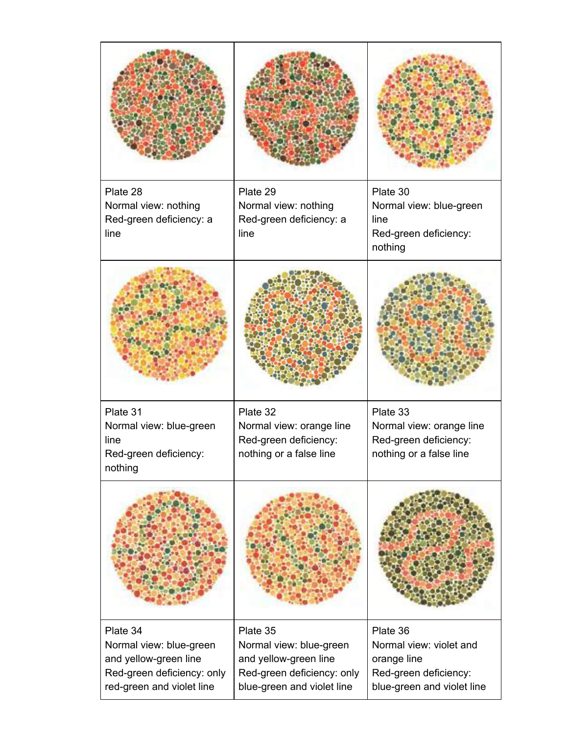| Plate 28<br>Normal view: nothing<br>Red-green deficiency: a<br>line                                                     | Plate 29<br>Normal view: nothing<br>Red-green deficiency: a<br>line                                                      | Plate 30<br>Normal view: blue-green<br>line<br>Red-green deficiency:<br>nothing                           |
|-------------------------------------------------------------------------------------------------------------------------|--------------------------------------------------------------------------------------------------------------------------|-----------------------------------------------------------------------------------------------------------|
|                                                                                                                         |                                                                                                                          |                                                                                                           |
| Plate 31<br>Normal view: blue-green<br>line<br>Red-green deficiency:<br>nothing                                         | Plate 32<br>Normal view: orange line<br>Red-green deficiency:<br>nothing or a false line                                 | Plate 33<br>Normal view: orange line<br>Red-green deficiency:<br>nothing or a false line                  |
|                                                                                                                         |                                                                                                                          |                                                                                                           |
| Plate 34<br>Normal view: blue-green<br>and yellow-green line<br>Red-green deficiency: only<br>red-green and violet line | Plate 35<br>Normal view: blue-green<br>and yellow-green line<br>Red-green deficiency: only<br>blue-green and violet line | Plate 36<br>Normal view: violet and<br>orange line<br>Red-green deficiency:<br>blue-green and violet line |